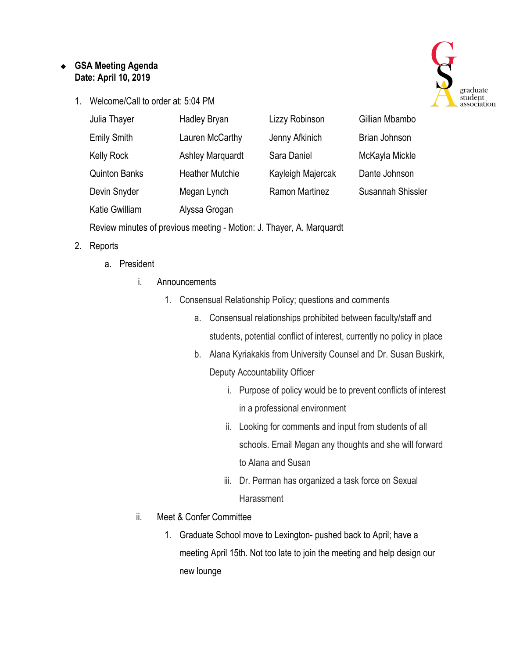## ❖ **GSA Meeting Agenda Date: April 10, 2019**

1. Welcome/Call to order at: 5:04 PM



| Julia Thayer         | <b>Hadley Bryan</b>     | Lizzy Robinson        | Gillian Mbambo    |
|----------------------|-------------------------|-----------------------|-------------------|
| <b>Emily Smith</b>   | Lauren McCarthy         | Jenny Afkinich        | Brian Johnson     |
| <b>Kelly Rock</b>    | <b>Ashley Marquardt</b> | Sara Daniel           | McKayla Mickle    |
| <b>Quinton Banks</b> | <b>Heather Mutchie</b>  | Kayleigh Majercak     | Dante Johnson     |
| Devin Snyder         | Megan Lynch             | <b>Ramon Martinez</b> | Susannah Shissler |
| Katie Gwilliam       | Alyssa Grogan           |                       |                   |

Review minutes of previous meeting - Motion: J. Thayer, A. Marquardt

## 2. Reports

- a. President
	- i. Announcements
		- 1. Consensual Relationship Policy; questions and comments
			- a. Consensual relationships prohibited between faculty/staff and students, potential conflict of interest, currently no policy in place
			- b. Alana Kyriakakis from University Counsel and Dr. Susan Buskirk, Deputy Accountability Officer
				- i. Purpose of policy would be to prevent conflicts of interest in a professional environment
				- ii. Looking for comments and input from students of all schools. Email Megan any thoughts and she will forward to Alana and Susan
				- iii. Dr. Perman has organized a task force on Sexual **Harassment**
	- ii. Meet & Confer Committee
		- 1. Graduate School move to Lexington- pushed back to April; have a meeting April 15th. Not too late to join the meeting and help design our new lounge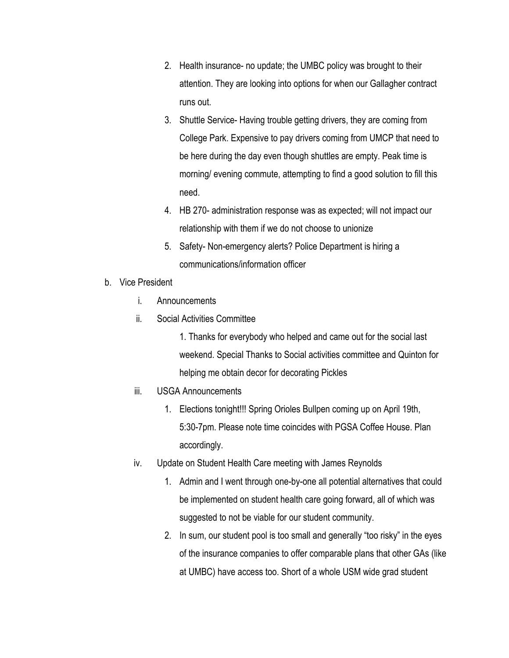- 2. Health insurance- no update; the UMBC policy was brought to their attention. They are looking into options for when our Gallagher contract runs out.
- 3. Shuttle Service- Having trouble getting drivers, they are coming from College Park. Expensive to pay drivers coming from UMCP that need to be here during the day even though shuttles are empty. Peak time is morning/ evening commute, attempting to find a good solution to fill this need.
- 4. HB 270- administration response was as expected; will not impact our relationship with them if we do not choose to unionize
- 5. Safety- Non-emergency alerts? Police Department is hiring a communications/information officer
- b. Vice President
	- i. Announcements
	- ii. Social Activities Committee

1. Thanks for everybody who helped and came out for the social last weekend. Special Thanks to Social activities committee and Quinton for helping me obtain decor for decorating Pickles

- iii. USGA Announcements
	- 1. Elections tonight!!! Spring Orioles Bullpen coming up on April 19th, 5:30-7pm. Please note time coincides with PGSA Coffee House. Plan accordingly.
- iv. Update on Student Health Care meeting with James Reynolds
	- 1. Admin and I went through one-by-one all potential alternatives that could be implemented on student health care going forward, all of which was suggested to not be viable for our student community.
	- 2. In sum, our student pool is too small and generally "too risky" in the eyes of the insurance companies to offer comparable plans that other GAs (like at UMBC) have access too. Short of a whole USM wide grad student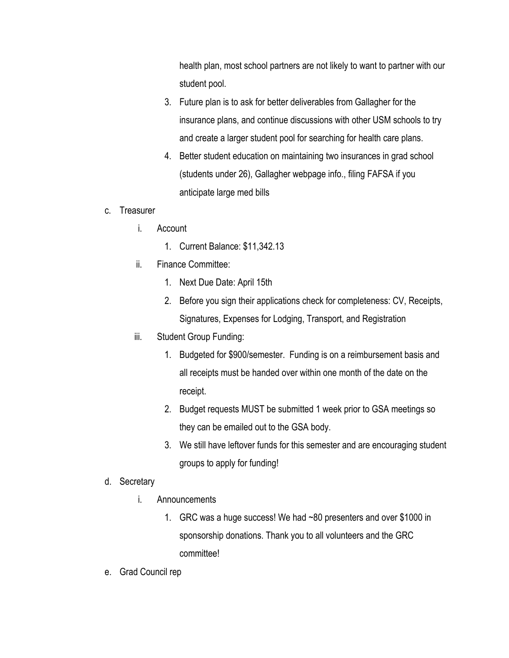health plan, most school partners are not likely to want to partner with our student pool.

- 3. Future plan is to ask for better deliverables from Gallagher for the insurance plans, and continue discussions with other USM schools to try and create a larger student pool for searching for health care plans.
- 4. Better student education on maintaining two insurances in grad school (students under 26), Gallagher webpage info., filing FAFSA if you anticipate large med bills
- c. Treasurer
	- i. Account
		- 1. Current Balance: \$11,342.13
	- ii. Finance Committee:
		- 1. Next Due Date: April 15th
		- 2. Before you sign their applications check for completeness: CV, Receipts, Signatures, Expenses for Lodging, Transport, and Registration
	- iii. Student Group Funding:
		- 1. Budgeted for \$900/semester. Funding is on a reimbursement basis and all receipts must be handed over within one month of the date on the receipt.
		- 2. Budget requests MUST be submitted 1 week prior to GSA meetings so they can be emailed out to the GSA body.
		- 3. We still have leftover funds for this semester and are encouraging student groups to apply for funding!
- d. Secretary
	- i. Announcements
		- 1. GRC was a huge success! We had ~80 presenters and over \$1000 in sponsorship donations. Thank you to all volunteers and the GRC committee!
- e. Grad Council rep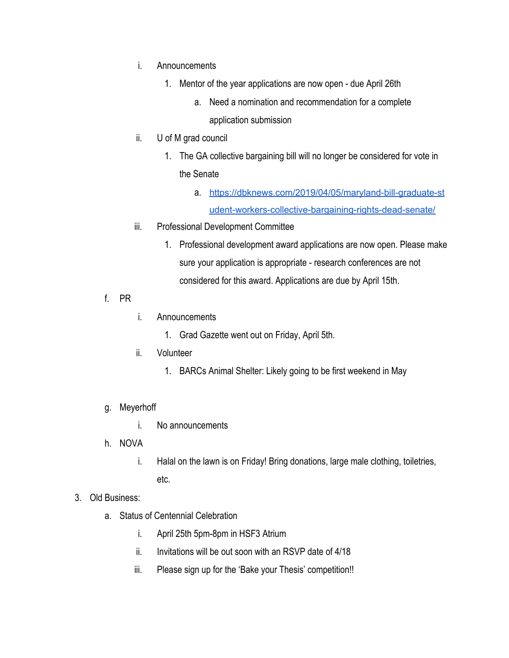- i. Announcements
	- 1. Mentor of the year applications are now open due April 26th
		- a. Need a nomination and recommendation for a complete application submission
- ii. U of M grad council
	- 1. The GA collective bargaining bill will no longer be considered for vote in the Senate
		- a. [https://dbknews.com/2019/04/05/maryland-bill-graduate-st](https://dbknews.com/2019/04/05/maryland-bill-graduate-student-workers-collective-bargaining-rights-dead-senate/) [udent-workers-collective-bargaining-rights-dead-senate/](https://dbknews.com/2019/04/05/maryland-bill-graduate-student-workers-collective-bargaining-rights-dead-senate/)
- iii. Professional Development Committee
	- 1. Professional development award applications are now open. Please make sure your application is appropriate - research conferences are not considered for this award. Applications are due by April 15th.
- f. PR
- i. Announcements
	- 1. Grad Gazette went out on Friday, April 5th.
- ii. Volunteer
	- 1. BARCs Animal Shelter: Likely going to be first weekend in May
- g. Meyerhoff
	- i. No announcements
- h. NOVA
	- i. Halal on the lawn is on Friday! Bring donations, large male clothing, toiletries, etc.
- 3. Old Business:
	- a. Status of Centennial Celebration
		- i. April 25th 5pm-8pm in HSF3 Atrium
		- ii. Invitations will be out soon with an RSVP date of 4/18
		- iii. Please sign up for the 'Bake your Thesis' competition!!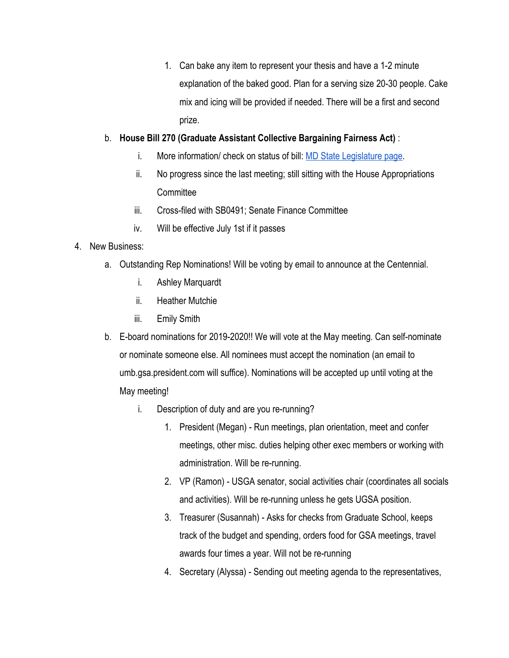1. Can bake any item to represent your thesis and have a 1-2 minute explanation of the baked good. Plan for a serving size 20-30 people. Cake mix and icing will be provided if needed. There will be a first and second prize.

## b. **House Bill 270 (Graduate Assistant Collective Bargaining Fairness Act)** :

- i. More information/ check on status of bill: [MD State Legislature page](http://mgaleg.maryland.gov/webmga/frmMain.aspx?id=hb0270&stab=01&pid=billpage&tab=subject3&ys=2019rs).
- ii. No progress since the last meeting; still sitting with the House Appropriations **Committee**
- iii. Cross-filed with SB0491; Senate Finance Committee
- iv. Will be effective July 1st if it passes

## 4. New Business:

- a. Outstanding Rep Nominations! Will be voting by email to announce at the Centennial.
	- i. Ashley Marquardt
	- ii. Heather Mutchie
	- iii. Emily Smith
- b. E-board nominations for 2019-2020!! We will vote at the May meeting. Can self-nominate or nominate someone else. All nominees must accept the nomination (an email to umb.gsa.president.com will suffice). Nominations will be accepted up until voting at the May meeting!
	- i. Description of duty and are you re-running?
		- 1. President (Megan) Run meetings, plan orientation, meet and confer meetings, other misc. duties helping other exec members or working with administration. Will be re-running.
		- 2. VP (Ramon) USGA senator, social activities chair (coordinates all socials and activities). Will be re-running unless he gets UGSA position.
		- 3. Treasurer (Susannah) Asks for checks from Graduate School, keeps track of the budget and spending, orders food for GSA meetings, travel awards four times a year. Will not be re-running
		- 4. Secretary (Alyssa) Sending out meeting agenda to the representatives,